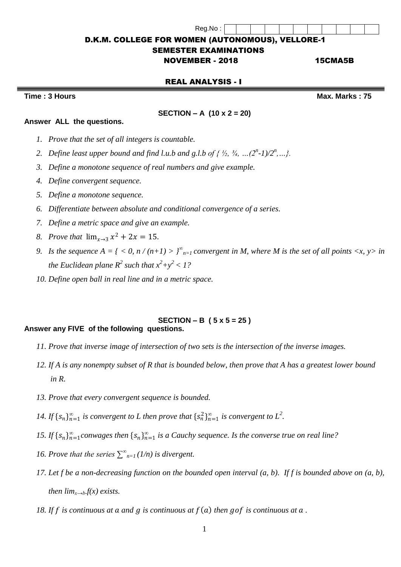# D.K.M. COLLEGE FOR WOMEN (AUTONOMOUS), VELLORE-1

Reg.No :

## SEMESTER EXAMINATIONS

NOVEMBER - 2018 15CMA5B

### REAL ANALYSIS - I

**Time : 3 Hours Max. Marks : 75**

**Answer ALL the questions.** 

#### **SECTION – A (10 x 2 = 20)**

- *1. Prove that the set of all integers is countable.*
- 2. Define least upper bound and find l.u.b and g.l.b of {  $\frac{1}{2}$ ,  $\frac{3}{4}$ , ...( $2^{n}$ -1)/ $2^{n}$ ,...}.
- *3. Define a monotone sequence of real numbers and give example.*
- *4. Define convergent sequence.*
- *5. Define a monotone sequence.*
- *6. Differentiate between absolute and conditional convergence of a series.*
- *7. Define a metric space and give an example.*
- *8. Prove that*  $\lim_{x \to 3} x^2 + 2x = 15$ .
- *9. Is the sequence*  $A = \{ \langle 0, n/(n+1) \rangle \}_{n=1}^{\infty}$  *convergent in M, where M is the set of all points*  $\langle x, y \rangle$  *in the Euclidean plane*  $R^2$  such that  $x^2+y^2 < 1$ ?
- *10. Define open ball in real line and in a metric space.*

#### **SECTION – B ( 5 x 5 = 25 ) Answer any FIVE of the following questions.**

- *11. Prove that inverse image of intersection of two sets is the intersection of the inverse images.*
- *12. If A is any nonempty subset of R that is bounded below, then prove that A has a greatest lower bound in R.*
- *13. Prove that every convergent sequence is bounded.*
- *14.* If  $\{s_n\}_{n=1}^{\infty}$  is convergent to L then prove that  $\{s_n^2\}_{n=1}^{\infty}$  is convergent to  $L^2$ .
- *15. If*  $\{s_n\}_{n=1}^{\infty}$  *conwages then*  $\{s_n\}_{n=1}^{\infty}$  *is a Cauchy sequence. Is the converse true on real line?*
- *16. Prove that the series*  $\sum_{n=1}^{\infty} (1/n)$  *is divergent.*
- *17. Let f be a non-decreasing function on the bounded open interval (a, b). If f is bounded above on (a, b), then*  $\lim_{x\to b} f(x)$  *exists.*
- 18. If f is continuous at  $a$  and  $g$  is continuous at  $f(a)$  then  $g \circ f$  is continuous at  $a$ .